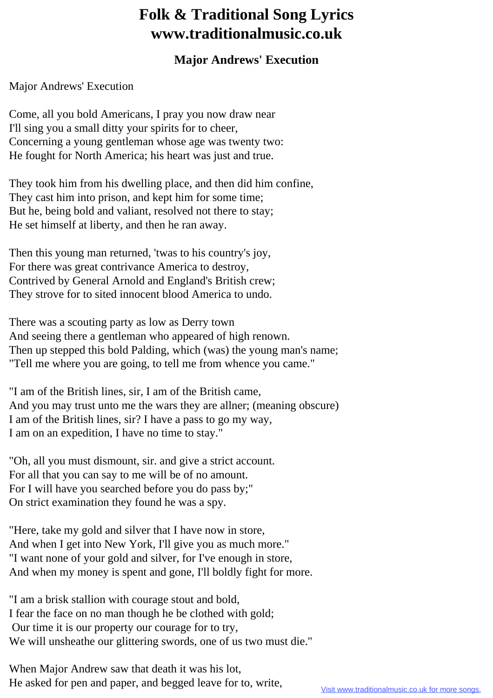## **Folk & Traditional Song Lyrics www.traditionalmusic.co.uk**

## **Major Andrews' Execution**

Major Andrews' Execution

Come, all you bold Americans, I pray you now draw near I'll sing you a small ditty your spirits for to cheer, Concerning a young gentleman whose age was twenty two: He fought for North America; his heart was just and true.

They took him from his dwelling place, and then did him confine, They cast him into prison, and kept him for some time; But he, being bold and valiant, resolved not there to stay; He set himself at liberty, and then he ran away.

Then this young man returned, 'twas to his country's joy, For there was great contrivance America to destroy, Contrived by General Arnold and England's British crew; They strove for to sited innocent blood America to undo.

There was a scouting party as low as Derry town And seeing there a gentleman who appeared of high renown. Then up stepped this bold Palding, which (was) the young man's name; "Tell me where you are going, to tell me from whence you came."

"I am of the British lines, sir, I am of the British came, And you may trust unto me the wars they are allner; (meaning obscure) I am of the British lines, sir? I have a pass to go my way, I am on an expedition, I have no time to stay."

"Oh, all you must dismount, sir. and give a strict account. For all that you can say to me will be of no amount. For I will have you searched before you do pass by;" On strict examination they found he was a spy.

"Here, take my gold and silver that I have now in store, And when I get into New York, I'll give you as much more." "I want none of your gold and silver, for I've enough in store, And when my money is spent and gone, I'll boldly fight for more.

"I am a brisk stallion with courage stout and bold, I fear the face on no man though he be clothed with gold; Our time it is our property our courage for to try, We will unsheathe our glittering swords, one of us two must die."

When Major Andrew saw that death it was his lot, He asked for pen and paper, and begged leave for to, write,